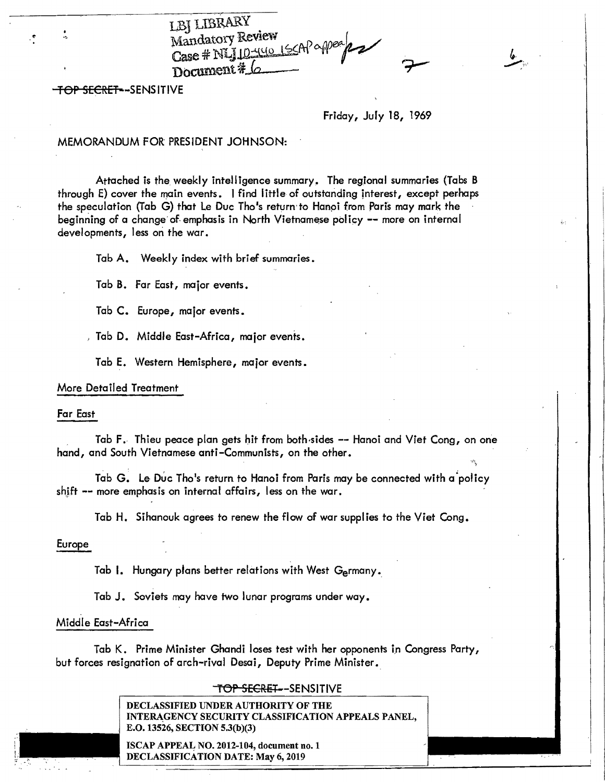LBJ LIBRARY Mandatory Review Manuary 2 minutes , 15CAP appear **12** Document # 6

TOP SECRET--SENSITIVE

 $\cdot$ 

Friday, July 18, 1969

## MEMORANDUM FOR PRESIDENT JOHNSON:

Attached is the. weekly intelligence summary. The regional summaries {Tabs B through E) cover the main events. I find little of outstanding interest, except perhaps the speculation (Tab G) that Le Duc Tho's return to Hanoi from Paris may mark the beginning of a change of emphasis in North Vietnamese policy -- more on internal developments, less on the war.

Tab A. Weekly index with brief summaries.

Tab B. Far East, major events.

Tab C. Europe, major events.

Tab D. Middle East-Africa, major events.

Tab E. Western Hemisphere, major events.

### More Detailed Treatment

#### Far East

Tab F. Thieu peace plan gets hit from both-sides -- Hanoi and Viet Cong, on one hand, and South Vietnamese anti -Communists, on the other.

Tab G. Le Duc Tho's return to Hanoi from Paris may be connected with a policy shjft -- more emphasis on internal affairs, less on the war.

Tab H. Sihanouk agrees to renew the flow of war supplies to the Viet Cong.

Europe

Tab I. Hungary plans better relations with West Germany.

Tab J. Soviets may have two lunar programs under way.

### Middle East-Africa

Tab K. Prime Minister Ghandi loses test with her opponents in Congress Party, but forces resignation of arch-rival Desai, Deputy Prime Minister.

### T<del>OP SECRET-</del> -SENSITIVE

DECLASSIFIED UNDER AUTHORITY OF THE INTERAGENCY SECURITY CLASSIFICATION APPEALS PANEL, E.0.13526, SECTION 5.3(b)(3)

ISCAP APPEAL NO. 2012-104, document no. 1 DECLASSIFICATION DATE: May 6, 2019